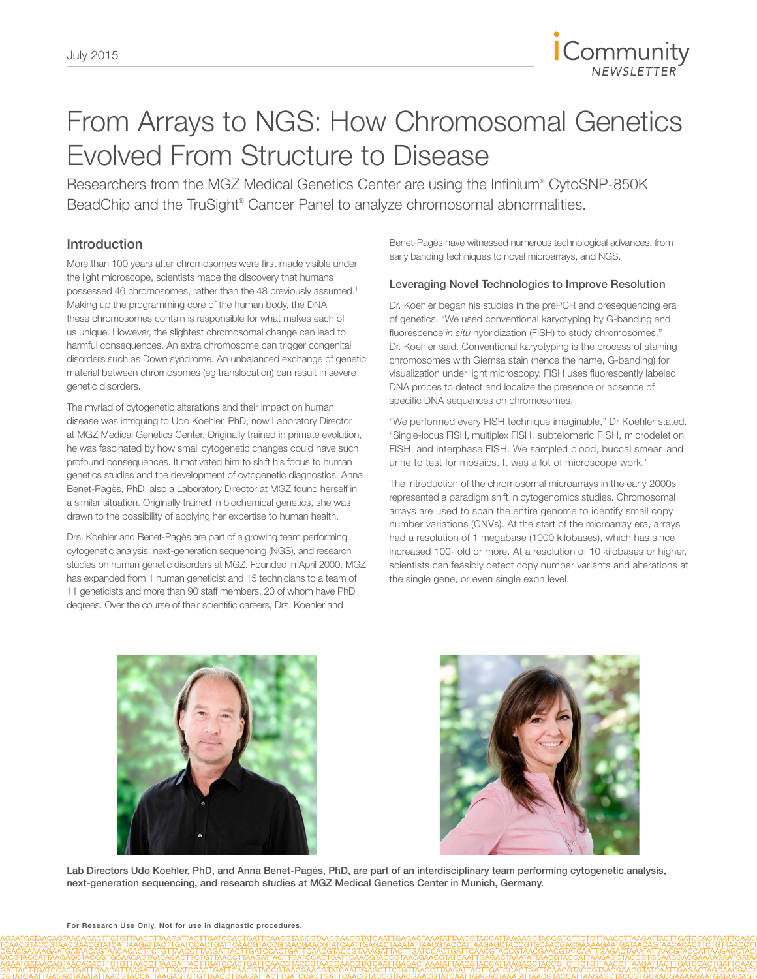

# From Arrays to NGS: How Chromosomal Genetics Evolved From Structure to Disease

Researchers from the MGZ Medical Genetics Center are using the Infinium® CytoSNP-850K BeadChip and the TruSight® Cancer Panel to analyze chromosomal abnormalities.

# Introduction

More than 100 years after chromosomes were first made visible under the light microscope, scientists made the discovery that humans possessed 46 chromosomes, rather than the 48 previously assumed.<sup>1</sup> Making up the programming core of the human body, the DNA these chromosomes contain is responsible for what makes each of us unique. However, the slightest chromosomal change can lead to harmful consequences. An extra chromosome can trigger congenital disorders such as Down syndrome. An unbalanced exchange of genetic material between chromosomes (eg translocation) can result in severe genetic disorders.

The myriad of cytogenetic alterations and their impact on human disease was intriguing to Udo Koehler, PhD, now Laboratory Director at MGZ Medical Genetics Center. Originally trained in primate evolution, he was fascinated by how small cytogenetic changes could have such profound consequences. It motivated him to shift his focus to human genetics studies and the development of cytogenetic diagnostics. Anna Benet-Pagès, PhD, also a Laboratory Director at MGZ found herself in a similar situation. Originally trained in biochemical genetics, she was drawn to the possibility of applying her expertise to human health.

Drs. Koehler and Benet-Pagès are part of a growing team performing cytogenetic analysis, next-generation sequencing (NGS), and research studies on human genetic disorders at MGZ. Founded in April 2000, MGZ has expanded from 1 human geneticist and 15 technicians to a team of 11 geneticists and more than 90 staff members, 20 of whom have PhD degrees. Over the course of their scientific careers, Drs. Koehler and

Benet-Pagès have witnessed numerous technological advances, from early banding techniques to novel microarrays, and NGS.

**Community** 

## Leveraging Novel Technologies to Improve Resolution

Dr. Koehler began his studies in the prePCR and presequencing era of genetics. "We used conventional karyotyping by G-banding and fluorescence *in situ* hybridization (FISH) to study chromosomes," Dr. Koehler said. Conventional karyotyping is the process of staining chromosomes with Giemsa stain (hence the name, G-banding) for visualization under light microscopy. FISH uses fluorescently labeled DNA probes to detect and localize the presence or absence of specific DNA sequences on chromosomes.

"We performed every FISH technique imaginable," Dr Koehler stated. "Single-locus FISH, multiplex FISH, subtelomeric FISH, microdeletion FISH, and interphase FISH. We sampled blood, buccal smear, and urine to test for mosaics. It was a lot of microscope work."

The introduction of the chromosomal microarrays in the early 2000s represented a paradigm shift in cytogenomics studies. Chromosomal arrays are used to scan the entire genome to identify small copy number variations (CNVs). At the start of the microarray era, arrays had a resolution of 1 megabase (1000 kilobases), which has since increased 100-fold or more. At a resolution of 10 kilobases or higher, scientists can feasibly detect copy number variants and alterations at the single gene, or even single exon level.

Lab Directors Udo Koehler, PhD, and Anna Benet-Pagès, PhD, are part of an interdisciplinary team performing cytogenetic analysis, next-generation sequencing, and research studies at MGZ Medical Genetics Center in Munich, Germany.